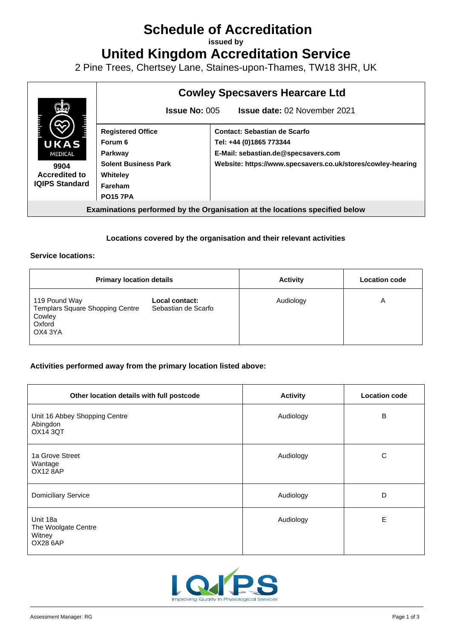# **Schedule of Accreditation**

**issued by**

**United Kingdom Accreditation Service**

2 Pine Trees, Chertsey Lane, Staines-upon-Thames, TW18 3HR, UK



## **Locations covered by the organisation and their relevant activities**

#### **Service locations:**

| <b>Primary location details</b>                                                        |                                       | <b>Activity</b> | <b>Location code</b> |
|----------------------------------------------------------------------------------------|---------------------------------------|-----------------|----------------------|
| 119 Pound Way<br><b>Templars Square Shopping Centre</b><br>Cowley<br>Oxford<br>OX4 3YA | Local contact:<br>Sebastian de Scarfo | Audiology       | Α                    |

#### **Activities performed away from the primary location listed above:**

| Other location details with full postcode                    | <b>Activity</b> | <b>Location code</b> |
|--------------------------------------------------------------|-----------------|----------------------|
| Unit 16 Abbey Shopping Centre<br>Abingdon<br><b>OX14 3QT</b> | Audiology       | B                    |
| 1a Grove Street<br>Wantage<br><b>OX12 8AP</b>                | Audiology       | C                    |
| <b>Domiciliary Service</b>                                   | Audiology       | D                    |
| Unit 18a<br>The Woolgate Centre<br>Witney<br><b>OX28 6AP</b> | Audiology       | Е                    |

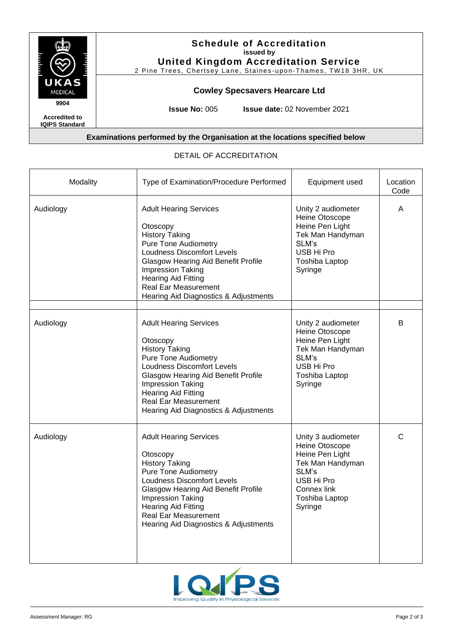

# **Examinations performed by the Organisation at the locations specified below**

### DETAIL OF ACCREDITATION

| Modality  | Type of Examination/Procedure Performed                                                                                                                                                                                                                                                                         | Equipment used                                                                                                                                        | Location<br>Code |
|-----------|-----------------------------------------------------------------------------------------------------------------------------------------------------------------------------------------------------------------------------------------------------------------------------------------------------------------|-------------------------------------------------------------------------------------------------------------------------------------------------------|------------------|
| Audiology | <b>Adult Hearing Services</b><br>Otoscopy<br><b>History Taking</b><br><b>Pure Tone Audiometry</b><br><b>Loudness Discomfort Levels</b><br><b>Glasgow Hearing Aid Benefit Profile</b><br>Impression Taking<br><b>Hearing Aid Fitting</b><br><b>Real Ear Measurement</b><br>Hearing Aid Diagnostics & Adjustments | Unity 2 audiometer<br>Heine Otoscope<br>Heine Pen Light<br>Tek Man Handyman<br>SLM's<br>USB Hi Pro<br><b>Toshiba Laptop</b><br>Syringe                | Α                |
|           |                                                                                                                                                                                                                                                                                                                 |                                                                                                                                                       |                  |
| Audiology | <b>Adult Hearing Services</b><br>Otoscopy<br><b>History Taking</b><br><b>Pure Tone Audiometry</b><br><b>Loudness Discomfort Levels</b><br><b>Glasgow Hearing Aid Benefit Profile</b><br><b>Impression Taking</b><br>Hearing Aid Fitting<br><b>Real Ear Measurement</b><br>Hearing Aid Diagnostics & Adjustments | Unity 2 audiometer<br>Heine Otoscope<br>Heine Pen Light<br>Tek Man Handyman<br>SLM's<br>USB Hi Pro<br><b>Toshiba Laptop</b><br>Syringe                | B                |
| Audiology | <b>Adult Hearing Services</b><br>Otoscopy<br><b>History Taking</b><br><b>Pure Tone Audiometry</b><br><b>Loudness Discomfort Levels</b><br><b>Glasgow Hearing Aid Benefit Profile</b><br><b>Impression Taking</b><br>Hearing Aid Fitting<br><b>Real Ear Measurement</b><br>Hearing Aid Diagnostics & Adjustments | Unity 3 audiometer<br>Heine Otoscope<br>Heine Pen Light<br>Tek Man Handyman<br>SLM's<br>USB Hi Pro<br>Connex link<br><b>Toshiba Laptop</b><br>Syringe | C                |